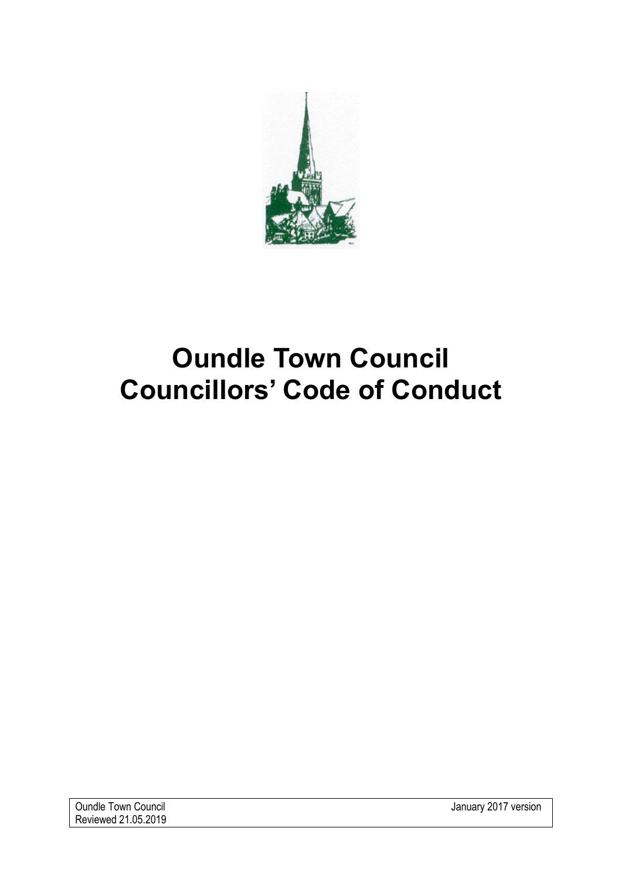

# **Oundle Town Council Councillors' Code of Conduct**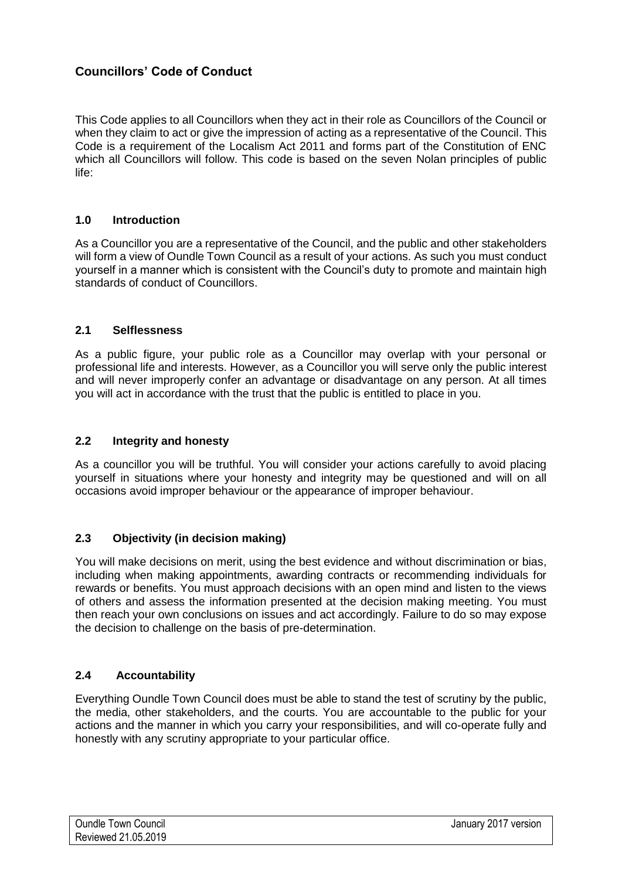## **Councillors' Code of Conduct**

This Code applies to all Councillors when they act in their role as Councillors of the Council or when they claim to act or give the impression of acting as a representative of the Council. This Code is a requirement of the Localism Act 2011 and forms part of the Constitution of ENC which all Councillors will follow. This code is based on the seven Nolan principles of public life:

#### **1.0 Introduction**

As a Councillor you are a representative of the Council, and the public and other stakeholders will form a view of Oundle Town Council as a result of your actions. As such you must conduct yourself in a manner which is consistent with the Council's duty to promote and maintain high standards of conduct of Councillors.

#### **2.1 Selflessness**

As a public figure, your public role as a Councillor may overlap with your personal or professional life and interests. However, as a Councillor you will serve only the public interest and will never improperly confer an advantage or disadvantage on any person. At all times you will act in accordance with the trust that the public is entitled to place in you.

#### **2.2 Integrity and honesty**

As a councillor you will be truthful. You will consider your actions carefully to avoid placing yourself in situations where your honesty and integrity may be questioned and will on all occasions avoid improper behaviour or the appearance of improper behaviour.

#### **2.3 Objectivity (in decision making)**

You will make decisions on merit, using the best evidence and without discrimination or bias, including when making appointments, awarding contracts or recommending individuals for rewards or benefits. You must approach decisions with an open mind and listen to the views of others and assess the information presented at the decision making meeting. You must then reach your own conclusions on issues and act accordingly. Failure to do so may expose the decision to challenge on the basis of pre-determination.

#### **2.4 Accountability**

Everything Oundle Town Council does must be able to stand the test of scrutiny by the public, the media, other stakeholders, and the courts. You are accountable to the public for your actions and the manner in which you carry your responsibilities, and will co-operate fully and honestly with any scrutiny appropriate to your particular office.

| <b>Oundle Town Council</b> | January 2017 version |
|----------------------------|----------------------|
| Reviewed 21.05.2019        |                      |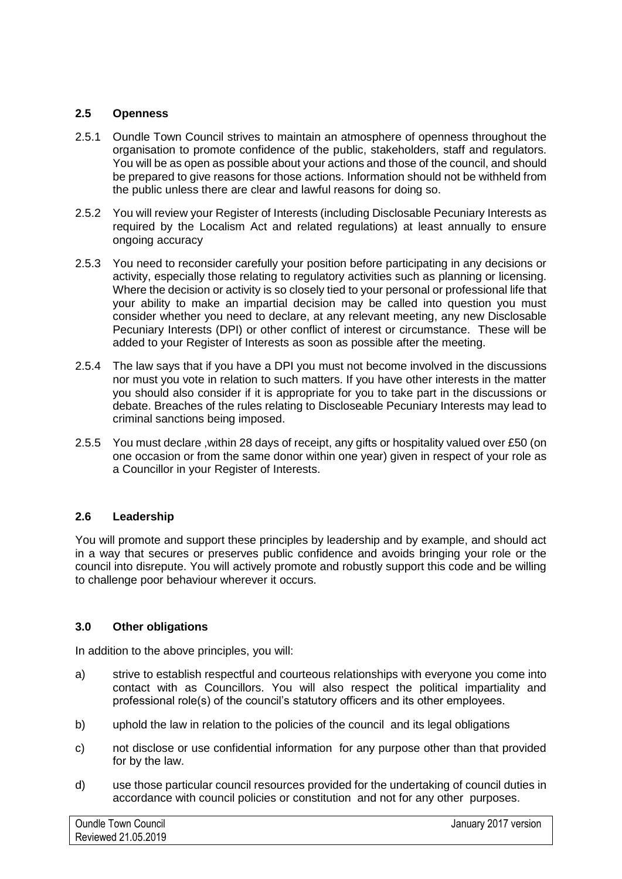### **2.5 Openness**

- 2.5.1 Oundle Town Council strives to maintain an atmosphere of openness throughout the organisation to promote confidence of the public, stakeholders, staff and regulators. You will be as open as possible about your actions and those of the council, and should be prepared to give reasons for those actions. Information should not be withheld from the public unless there are clear and lawful reasons for doing so.
- 2.5.2 You will review your Register of Interests (including Disclosable Pecuniary Interests as required by the Localism Act and related regulations) at least annually to ensure ongoing accuracy
- 2.5.3 You need to reconsider carefully your position before participating in any decisions or activity, especially those relating to regulatory activities such as planning or licensing. Where the decision or activity is so closely tied to your personal or professional life that your ability to make an impartial decision may be called into question you must consider whether you need to declare, at any relevant meeting, any new Disclosable Pecuniary Interests (DPI) or other conflict of interest or circumstance. These will be added to your Register of Interests as soon as possible after the meeting.
- 2.5.4 The law says that if you have a DPI you must not become involved in the discussions nor must you vote in relation to such matters. If you have other interests in the matter you should also consider if it is appropriate for you to take part in the discussions or debate. Breaches of the rules relating to Discloseable Pecuniary Interests may lead to criminal sanctions being imposed.
- 2.5.5 You must declare ,within 28 days of receipt, any gifts or hospitality valued over £50 (on one occasion or from the same donor within one year) given in respect of your role as a Councillor in your Register of Interests.

#### **2.6 Leadership**

You will promote and support these principles by leadership and by example, and should act in a way that secures or preserves public confidence and avoids bringing your role or the council into disrepute. You will actively promote and robustly support this code and be willing to challenge poor behaviour wherever it occurs.

#### **3.0 Other obligations**

In addition to the above principles, you will:

- a) strive to establish respectful and courteous relationships with everyone you come into contact with as Councillors. You will also respect the political impartiality and professional role(s) of the council's statutory officers and its other employees.
- b) uphold the law in relation to the policies of the council and its legal obligations
- c) not disclose or use confidential information for any purpose other than that provided for by the law.
- d) use those particular council resources provided for the undertaking of council duties in accordance with council policies or constitution and not for any other purposes.

| <b>Oundle Town Council</b> | January 2017 version |
|----------------------------|----------------------|
| Reviewed 21.05.2019        |                      |